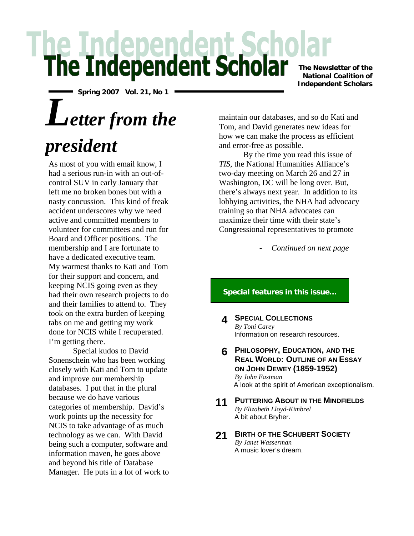# **he Independent Scholar**

**Spring 2007 Vol. 21, No 1**

# *Letter from the*

## *president*

As most of you with email know, I had a serious run-in with an out-ofcontrol SUV in early January that left me no broken bones but with a nasty concussion. This kind of freak accident underscores why we need active and committed members to volunteer for committees and run for Board and Officer positions. The membership and I are fortunate to have a dedicated executive team. My warmest thanks to Kati and Tom for their support and concern, and keeping NCIS going even as they had their own research projects to do and their families to attend to. They took on the extra burden of keeping tabs on me and getting my work done for NCIS while I recuperated. I'm getting there.

Special kudos to David Sonenschein who has been working closely with Kati and Tom to update and improve our membership databases. I put that in the plural because we do have various categories of membership. David's work points up the necessity for NCIS to take advantage of as much technology as we can. With David being such a computer, software and information maven*,* he goes above and beyond his title of Database Manager. He puts in a lot of work to **The Newsletter of the National Coalition of Independent Scholars**

maintain our databases, and so do Kati and Tom, and David generates new ideas for how we can make the process as efficient and error-free as possible.

By the time you read this issue of *TIS*, the National Humanities Alliance's two-day meeting on March 26 and 27 in Washington, DC will be long over. But, there's always next year. In addition to its lobbying activities, the NHA had advocacy training so that NHA advocates can maximize their time with their state's Congressional representatives to promote

- *Continued on next page* 

#### **Special features in this issue…**

- **4 SPECIAL COLLECTIONS** *By Toni Carey*  Information on research resources.
- **6 PHILOSOPHY, EDUCATION, AND THE REAL WORLD: OUTLINE OF AN ESSAY ON JOHN DEWEY (1859-1952)** *By John Eastman*  A look at the spirit of American exceptionalism.
- **11 PUTTERING ABOUT IN THE MINDFIELDS** *By Elizabeth Lloyd-Kimbrel* A bit about Bryher.
- **21 BIRTH OF THE SCHUBERT SOCIETY** *By Janet Wasserman*  A music lover's dream.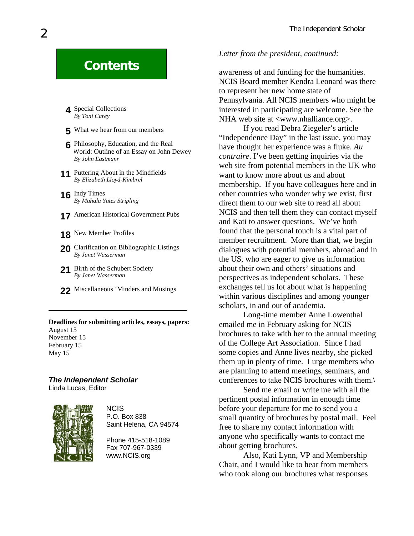- **4** Special Collections *By Toni Carey*
- **5** What we hear from our members
- **6** Philosophy, Education, and the Real World: Outline of an Essay on John Dewey *By John Eastmanr*
- **11** Puttering About in the Mindfields *By Elizabeth Lloyd-Kimbrel*
- **16** Indy Times *By Mahala Yates Stripling*
- **17** American Historical Government Pubs
- **18** New Member Profiles
- 20 Clarification on Bibliographic Listings *By Janet Wasserman*
- 21 Birth of the Schubert Society *By Janet Wasserman*
- **22** Miscellaneous 'Minders and Musings

#### **Deadlines for submitting articles, essays, papers:**  August 15 November 15 February 15 May 15

#### *The Independent Scholar*

Linda Lucas, Editor



**NCIS** P.O. Box 838 Saint Helena, CA 94574

Phone 415-518-1089 Fax 707-967-0339

#### *Letter from the president, continued:*

**Contents awareness** of and funding for the humanities. NCIS Board member Kendra Leonard was there to represent her new home state of Pennsylvania. All NCIS members who might be interested in participating are welcome. See the NHA web site at <www.nhalliance.org>.

> If you read Debra Ziegeler's article "Independence Day" in the last issue, you may have thought her experience was a fluke. *Au contraire*. I've been getting inquiries via the web site from potential members in the UK who want to know more about us and about membership. If you have colleagues here and in other countries who wonder why we exist, first direct them to our web site to read all about NCIS and then tell them they can contact myself and Kati to answer questions. We've both found that the personal touch is a vital part of member recruitment. More than that, we begin dialogues with potential members, abroad and in the US, who are eager to give us information about their own and others' situations and perspectives as independent scholars. These exchanges tell us lot about what is happening within various disciplines and among younger scholars, in and out of academia.

> Long-time member Anne Lowenthal emailed me in February asking for NCIS brochures to take with her to the annual meeting of the College Art Association. Since I had some copies and Anne lives nearby, she picked them up in plenty of time. I urge members who are planning to attend meetings, seminars, and conferences to take NCIS brochures with them.\

> Send me email or write me with all the pertinent postal information in enough time before your departure for me to send you a small quantity of brochures by postal mail. Feel free to share my contact information with anyone who specifically wants to contact me about getting brochures.

www.NCIS.org **Also, Kati Lynn, VP and Membership** Chair, and I would like to hear from members who took along our brochures what responses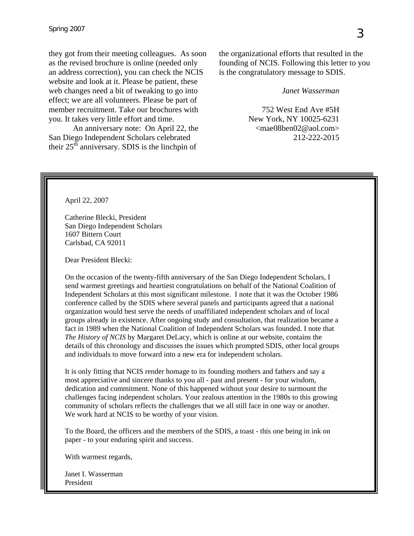they got from their meeting colleagues. As soon as the revised brochure is online (needed only an address correction), you can check the NCIS website and look at it. Please be patient, these web changes need a bit of tweaking to go into effect; we are all volunteers. Please be part of member recruitment. Take our brochures with you. It takes very little effort and time.

An anniversary note: On April 22, the San Diego Independent Scholars celebrated their  $25<sup>th</sup>$  anniversary. SDIS is the linchpin of

the organizational efforts that resulted in the founding of NCIS. Following this letter to you is the congratulatory message to SDIS.

*Janet Wasserman* 

752 West End Ave #5H New York, NY 10025-6231 <mae08ben02@aol.com> 212-222-2015

April 22, 2007

Catherine Blecki, President San Diego Independent Scholars 1607 Bittern Court Carlsbad, CA 92011

Dear President Blecki:

On the occasion of the twenty-fifth anniversary of the San Diego Independent Scholars, I send warmest greetings and heartiest congratulations on behalf of the National Coalition of Independent Scholars at this most significant milestone. I note that it was the October 1986 conference called by the SDIS where several panels and participants agreed that a national organization would best serve the needs of unaffiliated independent scholars and of local groups already in existence. After ongoing study and consultation, that realization became a fact in 1989 when the National Coalition of Independent Scholars was founded. I note that *The History of NCIS* by Margaret DeLacy, which is online at our website, contains the details of this chronology and discusses the issues which prompted SDIS, other local groups and individuals to move forward into a new era for independent scholars.

It is only fitting that NCIS render homage to its founding mothers and fathers and say a most appreciative and sincere thanks to you all - past and present - for your wisdom, dedication and commitment. None of this happened without your desire to surmount the challenges facing independent scholars. Your zealous attention in the 1980s to this growing community of scholars reflects the challenges that we all still face in one way or another. We work hard at NCIS to be worthy of your vision.

To the Board, the officers and the members of the SDIS, a toast - this one being in ink on paper - to your enduring spirit and success.

With warmest regards,

Janet I. Wasserman President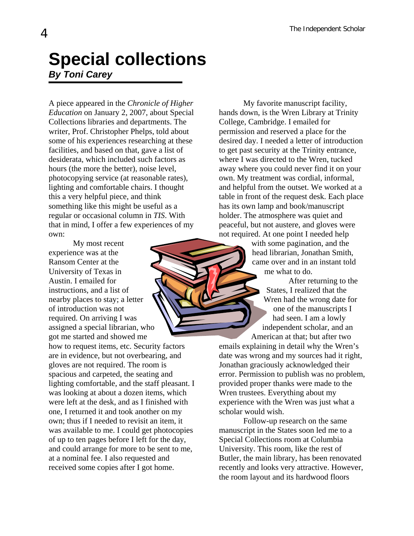## **Special collections**  *By Toni Carey*

A piece appeared in the *Chronicle of Higher Education* on January 2, 2007, about Special Collections libraries and departments. The writer, Prof. Christopher Phelps, told about some of his experiences researching at these facilities, and based on that, gave a list of desiderata, which included such factors as hours (the more the better), noise level, photocopying service (at reasonable rates), lighting and comfortable chairs. I thought this a very helpful piece, and think something like this might be useful as a regular or occasional column in *TIS*. With that in mind, I offer a few experiences of my own:

My most recent experience was at the Ransom Center at the University of Texas in Austin. I emailed for instructions, and a list of nearby places to stay; a letter of introduction was not required. On arriving I was assigned a special librarian, who got me started and showed me

how to request items, etc. Security factors are in evidence, but not overbearing, and gloves are not required. The room is spacious and carpeted, the seating and lighting comfortable, and the staff pleasant. I was looking at about a dozen items, which were left at the desk, and as I finished with one, I returned it and took another on my own; thus if I needed to revisit an item, it was available to me. I could get photocopies of up to ten pages before I left for the day, and could arrange for more to be sent to me, at a nominal fee. I also requested and received some copies after I got home.

My favorite manuscript facility, hands down, is the Wren Library at Trinity College, Cambridge. I emailed for permission and reserved a place for the desired day. I needed a letter of introduction to get past security at the Trinity entrance, where I was directed to the Wren, tucked away where you could never find it on your own. My treatment was cordial, informal, and helpful from the outset. We worked at a table in front of the request desk. Each place has its own lamp and book/manuscript holder. The atmosphere was quiet and peaceful, but not austere, and gloves were not required. At one point I needed help

> with some pagination, and the head librarian, Jonathan Smith, came over and in an instant told me what to do.

After returning to the States, I realized that the Wren had the wrong date for one of the manuscripts I had seen. I am a lowly independent scholar, and an American at that; but after two

emails explaining in detail why the Wren's date was wrong and my sources had it right, Jonathan graciously acknowledged their error. Permission to publish was no problem, provided proper thanks were made to the Wren trustees. Everything about my experience with the Wren was just what a scholar would wish.

Follow-up research on the same manuscript in the States soon led me to a Special Collections room at Columbia University. This room, like the rest of Butler, the main library, has been renovated recently and looks very attractive. However, the room layout and its hardwood floors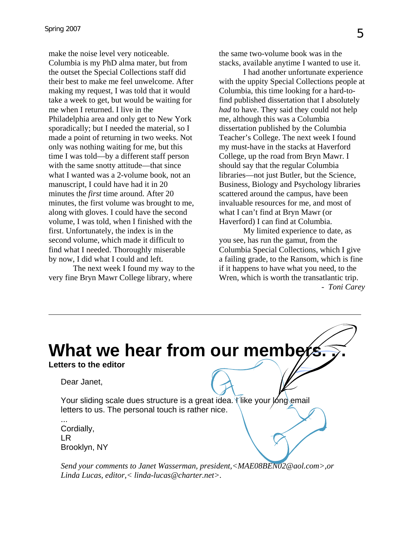make the noise level very noticeable. Columbia is my PhD alma mater, but from the outset the Special Collections staff did their best to make me feel unwelcome. After making my request, I was told that it would take a week to get, but would be waiting for me when I returned. I live in the Philadelphia area and only get to New York sporadically; but I needed the material, so I made a point of returning in two weeks. Not only was nothing waiting for me, but this time I was told—by a different staff person with the same snotty attitude—that since what I wanted was a 2-volume book, not an manuscript, I could have had it in 20 minutes the *first* time around. After 20 minutes, the first volume was brought to me, along with gloves. I could have the second volume, I was told, when I finished with the first. Unfortunately, the index is in the second volume, which made it difficult to find what I needed. Thoroughly miserable by now, I did what I could and left.

The next week I found my way to the very fine Bryn Mawr College library, where

the same two-volume book was in the stacks, available anytime I wanted to use it.

I had another unfortunate experience with the uppity Special Collections people at Columbia, this time looking for a hard-tofind published dissertation that I absolutely *had* to have. They said they could not help me, although this was a Columbia dissertation published by the Columbia Teacher's College. The next week I found my must-have in the stacks at Haverford College, up the road from Bryn Mawr. I should say that the regular Columbia libraries—not just Butler, but the Science, Business, Biology and Psychology libraries scattered around the campus, have been invaluable resources for me, and most of what I can't find at Bryn Mawr (or Haverford) I can find at Columbia.

My limited experience to date, as you see, has run the gamut, from the Columbia Special Collections, which I give a failing grade, to the Ransom, which is fine if it happens to have what you need, to the Wren, which is worth the transatlantic trip. - *Toni Carey*

## **What we hear from our members.**

#### **Letters to the editor**

Dear Janet,

Your sliding scale dues structure is a great idea. Tike your long email letters to us. The personal touch is rather nice.

... Cordially, LR Brooklyn, NY

*Send your comments to Janet Wasserman, president,<[MAE08BEN02@aol.com](mailto:MAE08BEN02@aol.com)>,or Linda Lucas, editor,< linda-lucas@charter.net>.*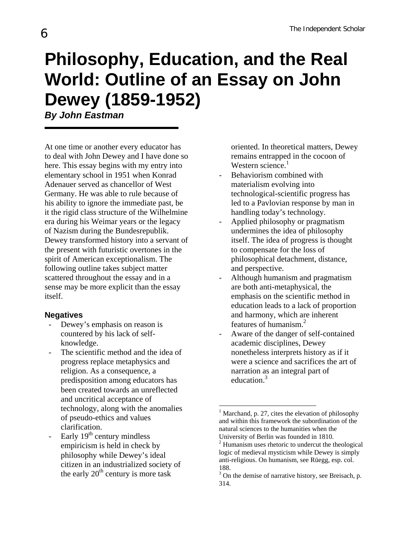# **Philosophy, Education, and the Real World: Outline of an Essay on John Dewey (1859-1952)**

*By John Eastman* 

At one time or another every educator has to deal with John Dewey and I have done so here. This essay begins with my entry into elementary school in 1951 when Konrad Adenauer served as chancellor of West Germany. He was able to rule because of his ability to ignore the immediate past, be it the rigid class structure of the Wilhelmine era during his Weimar years or the legacy of Nazism during the Bundesrepublik. Dewey transformed history into a servant of the present with futuristic overtones in the spirit of American exceptionalism. The following outline takes subject matter scattered throughout the essay and in a sense may be more explicit than the essay itself.

#### **Negatives**

- Dewey's emphasis on reason is countered by his lack of selfknowledge.
- The scientific method and the idea of progress replace metaphysics and religion. As a consequence, a predisposition among educators has been created towards an unreflected and uncritical acceptance of technology, along with the anomalies of pseudo-ethics and values clarification.
- Early  $19<sup>th</sup>$  century mindless empiricism is held in check by philosophy while Dewey's ideal citizen in an industrialized society of the early  $20<sup>th</sup>$  century is more task

oriented. In theoretical matters, Dewey remains entrapped in the cocoon of Western science. $1$ 

- Behaviorism combined with materialism evolving into technological-scientific progress has led to a Pavlovian response by man in handling today's technology.
- Applied philosophy or pragmatism undermines the idea of philosophy itself. The idea of progress is thought to compensate for the loss of philosophical detachment, distance, and perspective.
- Although humanism and pragmatism are both anti-metaphysical, the emphasis on the scientific method in education leads to a lack of proportion and harmony, which are inherent features of humanism. [2](#page-5-1)
- Aware of the danger of self-contained academic disciplines, Dewey nonetheless interprets history as if it were a science and sacrifices the art of narration as an integral part of education.<sup>[3](#page-5-2)</sup>

 $\overline{a}$ 

<span id="page-5-0"></span> $<sup>1</sup>$  Marchand, p. 27, cites the elevation of philosophy</sup> and within this framework the subordination of the natural sciences to the humanities when the University of Berlin was founded in 1810. 2

<span id="page-5-1"></span> $2$  Humanism uses rhetoric to undercut the theological logic of medieval mysticism while Dewey is simply anti-religious. On humanism, see Rüegg, esp. col. 188.

<span id="page-5-2"></span><sup>&</sup>lt;sup>3</sup> On the demise of narrative history, see Breisach, p. 314.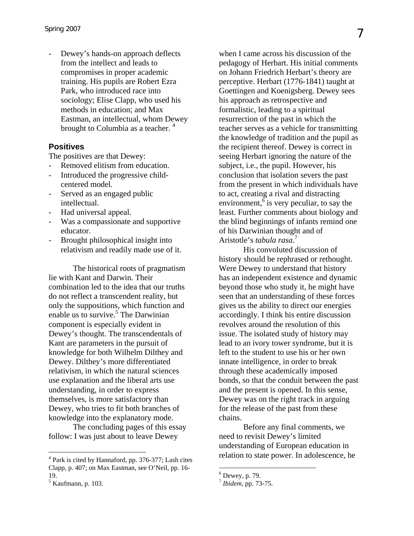Dewey's hands-on approach deflects from the intellect and leads to compromises in proper academic training. His pupils are Robert Ezra Park, who introduced race into sociology; Elise Clapp, who used his methods in education; and Max Eastman, an intellectual, whom Dewey brought to Columbia as a teacher.<sup>[4](#page-6-0)</sup>

#### **Positives**

The positives are that Dewey:

- Removed elitism from education.
- Introduced the progressive childcentered model.
- Served as an engaged public intellectual.
- Had universal appeal.
- Was a compassionate and supportive educator.
- Brought philosophical insight into relativism and readily made use of it.

The historical roots of pragmatism lie with Kant and Darwin. Their combination led to the idea that our truths do not reflect a transcendent reality, but only the suppositions, which function and enable us to survive.<sup>[5](#page-6-1)</sup> The Darwinian component is especially evident in Dewey's thought. The transcendentals of Kant are parameters in the pursuit of knowledge for both Wilhelm Dilthey and Dewey. Dilthey's more differentiated relativism, in which the natural sciences use explanation and the liberal arts use understanding, in order to express themselves, is more satisfactory than Dewey, who tries to fit both branches of knowledge into the explanatory mode.

The concluding pages of this essay follow: I was just about to leave Dewey

<u>.</u>

when I came across his discussion of the pedagogy of Herbart. His initial comments on Johann Friedrich Herbart's theory are perceptive. Herbart (1776-1841) taught at Goettingen and Koenigsberg. Dewey sees his approach as retrospective and formalistic, leading to a spiritual resurrection of the past in which the teacher serves as a vehicle for transmitting the knowledge of tradition and the pupil as the recipient thereof. Dewey is correct in seeing Herbart ignoring the nature of the subject, i.e., the pupil. However, his conclusion that isolation severs the past from the present in which individuals have to act, creating a rival and distracting environment,  $\overline{6}$  $\overline{6}$  $\overline{6}$  is very peculiar, to say the least. Further comments about biology and the blind beginnings of infants remind one of his Darwinian thought and of Aristotle's *tabula rasa*. [7](#page-6-3)

His convoluted discussion of history should be rephrased or rethought. Were Dewey to understand that history has an independent existence and dynamic beyond those who study it, he might have seen that an understanding of these forces gives us the ability to direct our energies accordingly. I think his entire discussion revolves around the resolution of this issue. The isolated study of history may lead to an ivory tower syndrome, but it is left to the student to use his or her own innate intelligence, in order to break through these academically imposed bonds, so that the conduit between the past and the present is opened. In this sense, Dewey was on the right track in arguing for the release of the past from these chains.

Before any final comments, we need to revisit Dewey's limited understanding of European education in relation to state power. In adolescence, he

<span id="page-6-0"></span><sup>&</sup>lt;sup>4</sup> Park is cited by Hannaford, pp. 376-377; Lash cites Clapp, p. 407; on Max Eastman, see O'Neil, pp. 16- 19.

<span id="page-6-1"></span><sup>5</sup> Kaufmann, p. 103.

<span id="page-6-2"></span> $^6$  Dewey, p. 79.

<span id="page-6-3"></span>*Ibidem*, pp. 73-75.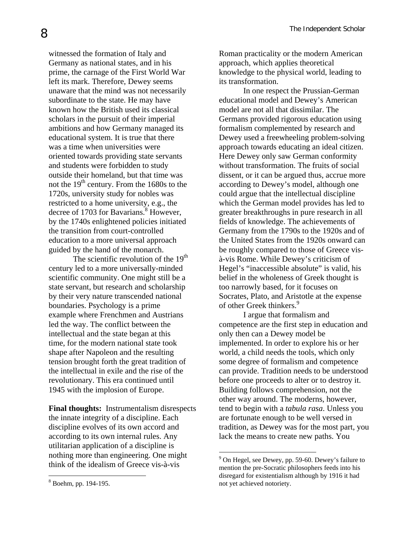witnessed the formation of Italy and Germany as national states, and in his prime, the carnage of the First World War left its mark. Therefore, Dewey seems unaware that the mind was not necessarily subordinate to the state. He may have known how the British used its classical scholars in the pursuit of their imperial ambitions and how Germany managed its educational system. It is true that there was a time when universities were oriented towards providing state servants and students were forbidden to study outside their homeland, but that time was not the  $19<sup>th</sup>$  century. From the 1680s to the 1720s, university study for nobles was restricted to a home university, e.g., the decree of 1703 for Bavarians.<sup>8</sup> However, by the 1740s enlightened policies initiated the transition from court-controlled education to a more universal approach guided by the hand of the monarch.

The scientific revolution of the  $19<sup>th</sup>$ century led to a more universally-minded scientific community. One might still be a state servant, but research and scholarship by their very nature transcended national boundaries. Psychology is a prime example where Frenchmen and Austrians led the way. The conflict between the intellectual and the state began at this time, for the modern national state took shape after Napoleon and the resulting tension brought forth the great tradition of the intellectual in exile and the rise of the revolutionary. This era continued until 1945 with the implosion of Europe.

**Final thoughts:** Instrumentalism disrespects the innate integrity of a discipline. Each discipline evolves of its own accord and according to its own internal rules. Any utilitarian application of a discipline is nothing more than engineering. One might think of the idealism of Greece vis-à-vis

Roman practicality or the modern American approach, which applies theoretical knowledge to the physical world, leading to its transformation.

In one respect the Prussian-German educational model and Dewey's American model are not all that dissimilar. The Germans provided rigorous education using formalism complemented by research and Dewey used a freewheeling problem-solving approach towards educating an ideal citizen. Here Dewey only saw German conformity without transformation. The fruits of social dissent, or it can be argued thus, accrue more according to Dewey's model, although one could argue that the intellectual discipline which the German model provides has led to greater breakthroughs in pure research in all fields of knowledge. The achievements of Germany from the 1790s to the 1920s and of the United States from the 1920s onward can be roughly compared to those of Greece visà-vis Rome. While Dewey's criticism of Hegel's "inaccessible absolute" is valid, his belief in the wholeness of Greek thought is too narrowly based, for it focuses on Socrates, Plato, and Aristotle at the expense of other Greek thinkers.<sup>[9](#page-7-1)</sup>

I argue that formalism and competence are the first step in education and only then can a Dewey model be implemented. In order to explore his or her world, a child needs the tools, which only some degree of formalism and competence can provide. Tradition needs to be understood before one proceeds to alter or to destroy it. Building follows comprehension, not the other way around. The moderns, however, tend to begin with a *tabula rasa*. Unless you are fortunate enough to be well versed in tradition, as Dewey was for the most part, you lack the means to create new paths. You

 $\overline{a}$ 

<u>.</u>

<span id="page-7-1"></span> $9^9$  On Hegel, see Dewey, pp. 59-60. Dewey's failure to mention the pre-Socratic philosophers feeds into his disregard for existentialism although by 1916 it had not yet achieved notoriety.

<span id="page-7-0"></span><sup>8</sup> Boehm, pp. 194-195.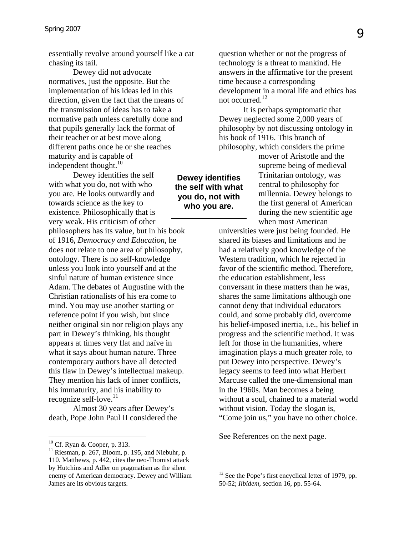essentially revolve around yourself like a cat chasing its tail.

Dewey did not advocate normatives, just the opposite. But the implementation of his ideas led in this direction, given the fact that the means of the transmission of ideas has to take a normative path unless carefully done and that pupils generally lack the format of their teacher or at best move along different paths once he or she reaches maturity and is capable of independent thought. $^{10}$ 

**Dewey identifies the self with what you do, not with who you are.**  Dewey identifies the self with what you do, not with who you are. He looks outwardly and towards science as the key to existence. Philosophically that is very weak. His criticism of other philosophers has its value, but in his book of 1916, *Democracy and Education*, he does not relate to one area of philosophy, ontology. There is no self-knowledge unless you look into yourself and at the sinful nature of human existence since Adam. The debates of Augustine with the Christian rationalists of his era come to mind. You may use another starting or reference point if you wish, but since neither original sin nor religion plays any part in Dewey's thinking, his thought appears at times very flat and naïve in what it says about human nature. Three contemporary authors have all detected this flaw in Dewey's intellectual makeup. They mention his lack of inner conflicts, his immaturity, and his inability to recognize self-love.<sup>[11](#page-8-1)</sup>

Almost 30 years after Dewey's death, Pope John Paul II considered the

question whether or not the progress of technology is a threat to mankind. He answers in the affirmative for the present time because a corresponding development in a moral life and ethics has not occurred.<sup>[12](#page-8-2)</sup>

It is perhaps symptomatic that Dewey neglected some 2,000 years of philosophy by not discussing ontology in his book of 1916. This branch of philosophy, which considers the prime

> mover of Aristotle and the supreme being of medieval Trinitarian ontology, was central to philosophy for millennia. Dewey belongs to the first general of American during the new scientific age when most American

universities were just being founded. He shared its biases and limitations and he had a relatively good knowledge of the Western tradition, which he rejected in favor of the scientific method. Therefore, the education establishment, less conversant in these matters than he was, shares the same limitations although one cannot deny that individual educators could, and some probably did, overcome his belief-imposed inertia, i.e., his belief in progress and the scientific method. It was left for those in the humanities, where imagination plays a much greater role, to put Dewey into perspective. Dewey's legacy seems to feed into what Herbert Marcuse called the one-dimensional man in the 1960s. Man becomes a being without a soul, chained to a material world without vision. Today the slogan is, "Come join us," you have no other choice.

See References on the next page.

1

<span id="page-8-0"></span><sup>&</sup>lt;sup>10</sup> Cf. Ryan & Cooper, p. 313.

<span id="page-8-1"></span> $11$  Riesman, p. 267, Bloom, p. 195, and Niebuhr, p. 110. Matthews, p. 442, cites the neo-Thomist attack by Hutchins and Adler on pragmatism as the silent enemy of American democracy. Dewey and William James are its obvious targets.

<span id="page-8-2"></span> $12$  See the Pope's first encyclical letter of 1979, pp. 50-52; *Iibidem,* section 16, pp. 55-64.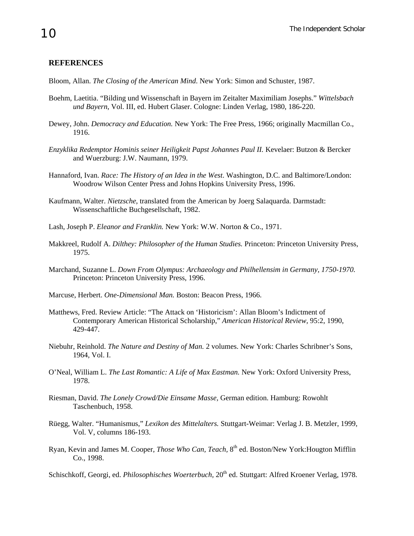#### **REFERENCES**

Bloom, Allan. *The Closing of the American Mind*. New York: Simon and Schuster, 1987.

- Boehm, Laetitia. "Bilding und Wissenschaft in Bayern im Zeitalter Maximiliam Josephs." *Wittelsbach und Bayern*, Vol. III, ed. Hubert Glaser. Cologne: Linden Verlag, 1980, 186-220.
- Dewey, John. *Democracy and Education.* New York: The Free Press, 1966; originally Macmillan Co., 1916.
- *Enzyklika Redemptor Hominis seiner Heiligkeit Papst Johannes Paul II.* Kevelaer: Butzon & Bercker and Wuerzburg: J.W. Naumann, 1979.
- Hannaford, Ivan. *Race: The History of an Idea in the West*. Washington, D.C. and Baltimore/London: Woodrow Wilson Center Press and Johns Hopkins University Press, 1996.
- Kaufmann, Walter. *Nietzsche*, translated from the American by Joerg Salaquarda. Darmstadt: Wissenschaftliche Buchgesellschaft, 1982.
- Lash, Joseph P. *Eleanor and Franklin.* New York: W.W. Norton & Co., 1971.
- Makkreel, Rudolf A. *Dilthey: Philosopher of the Human Studies.* Princeton: Princeton University Press, 1975.
- Marchand, Suzanne L. *Down From Olympus: Archaeology and Philhellensim in Germany, 1750-1970.* Princeton: Princeton University Press, 1996.
- Marcuse, Herbert. *One-Dimensional Man.* Boston: Beacon Press, 1966.
- Matthews, Fred. Review Article: "The Attack on 'Historicism': Allan Bloom's Indictment of Contemporary American Historical Scholarship," *American Historical Review,* 95:2, 1990, 429-447.
- Niebuhr, Reinhold. *The Nature and Destiny of Man.* 2 volumes. New York: Charles Schribner's Sons, 1964, Vol. I.
- O'Neal, William L. *The Last Romantic: A Life of Max Eastman.* New York: Oxford University Press, 1978.
- Riesman, David. *The Lonely Crowd/Die Einsame Masse,* German edition. Hamburg: Rowohlt Taschenbuch, 1958.
- Rüegg, Walter. "Humanismus," *Lexikon des Mittelalters.* Stuttgart-Weimar: Verlag J. B. Metzler, 1999, Vol. V, columns 186-193.
- Ryan, Kevin and James M. Cooper, *Those Who Can, Teach,* 8th ed. Boston/New York:Hougton Mifflin Co., 1998.

Schischkoff, Georgi, ed. *Philosophisches Woerterbuch*, 20<sup>th</sup> ed. Stuttgart: Alfred Kroener Verlag, 1978.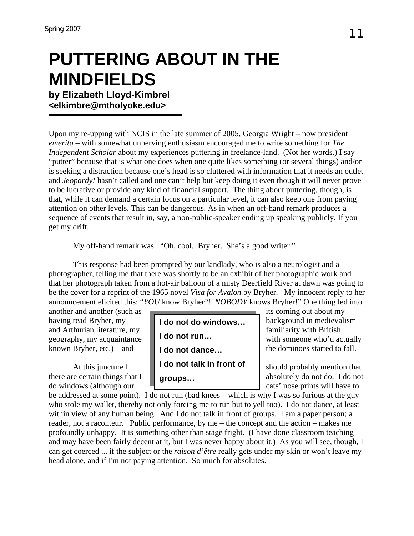# **PUTTERING ABOUT IN THE MINDFIELDS**

**by Elizabeth Lloyd-Kimbrel <[elkimbre@mtholyoke.edu>](mailto:elkimbre@mtholyoke.edu)**

Upon my re-upping with NCIS in the late summer of 2005, Georgia Wright – now president *emerita* – with somewhat unnerving enthusiasm encouraged me to write something for *The Independent Scholar* about my experiences puttering in freelance-land. (Not her words.) I say "putter" because that is what one does when one quite likes something (or several things) and/or is seeking a distraction because one's head is so cluttered with information that it needs an outlet and *Jeopardy!* hasn't called and one can't help but keep doing it even though it will never prove to be lucrative or provide any kind of financial support. The thing about puttering, though, is that, while it can demand a certain focus on a particular level, it can also keep one from paying attention on other levels. This can be dangerous. As in when an off-hand remark produces a sequence of events that result in, say, a non-public-speaker ending up speaking publicly. If you get my drift.

My off-hand remark was: "Oh, cool. Bryher. She's a good writer."

This response had been prompted by our landlady, who is also a neurologist and a photographer, telling me that there was shortly to be an exhibit of her photographic work and that her photograph taken from a hot-air balloon of a misty Deerfield River at dawn was going to be the cover for a reprint of the 1965 novel *Visa for Avalon* by Bryher. My innocent reply to her announcement elicited this: "*YOU* know Bryher?! *NOBODY* knows Bryher!" One thing led into

another and another (such as its coming out about my



be addressed at some point). I do not run (bad knees – which is why I was so furious at the guy who stole my wallet, thereby not only forcing me to run but to yell too). I do not dance, at least within view of any human being. And I do not talk in front of groups. I am a paper person; a reader, not a raconteur. Public performance, by me – the concept and the action – makes me profoundly unhappy. It is something other than stage fright. (I have done classroom teaching and may have been fairly decent at it, but I was never happy about it.) As you will see, though, I can get coerced ... if the subject or the *raison d'être* really gets under my skin or won't leave my head alone, and if I'm not paying attention. So much for absolutes.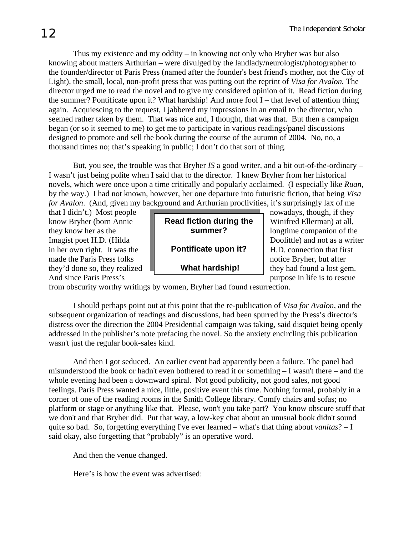Thus my existence and my oddity – in knowing not only who Bryher was but also knowing about matters Arthurian – were divulged by the landlady/neurologist/photographer to the founder/director of Paris Press (named after the founder's best friend's mother, not the City of Light), the small, local, non-profit press that was putting out the reprint of *Visa for Avalon.* The director urged me to read the novel and to give my considered opinion of it. Read fiction during the summer? Pontificate upon it? What hardship! And more fool I – that level of attention thing again. Acquiescing to the request, I jabbered my impressions in an email to the director, who seemed rather taken by them. That was nice and, I thought, that was that. But then a campaign began (or so it seemed to me) to get me to participate in various readings/panel discussions designed to promote and sell the book during the course of the autumn of 2004. No, no, a thousand times no; that's speaking in public; I don't do that sort of thing.

But, you see, the trouble was that Bryher *IS* a good writer, and a bit out-of-the-ordinary – I wasn't just being polite when I said that to the director. I knew Bryher from her historical novels, which were once upon a time critically and popularly acclaimed. (I especially like *Ruan*, by the way.) I had not known, however, her one departure into futuristic fiction, that being *Visa for Avalon*. (And, given my background and Arthurian proclivities, it's surprisingly lax of me

| that I didn't.) Most people   |                         | nowadays, though, if they      |
|-------------------------------|-------------------------|--------------------------------|
| know Bryher (born Annie       | Read fiction during the | Winifred Ellerman) at all,     |
| they know her as the          | summer?                 | longtime companion of the      |
| Imagist poet H.D. (Hilda      |                         | Doolittle) and not as a writer |
| in her own right. It was the  | Pontificate upon it?    | H.D. connection that first     |
| made the Paris Press folks    |                         | notice Bryher, but after       |
| they'd done so, they realized | <b>What hardship!</b>   | they had found a lost gem.     |
| And since Paris Press's       |                         | purpose in life is to rescue   |

from obscurity worthy writings by women, Bryher had found resurrection.

I should perhaps point out at this point that the re-publication of *Visa for Avalon*, and the subsequent organization of readings and discussions, had been spurred by the Press's director's distress over the direction the 2004 Presidential campaign was taking, said disquiet being openly addressed in the publisher's note prefacing the novel. So the anxiety encircling this publication wasn't just the regular book-sales kind.

And then I got seduced. An earlier event had apparently been a failure. The panel had misunderstood the book or hadn't even bothered to read it or something – I wasn't there – and the whole evening had been a downward spiral. Not good publicity, not good sales, not good feelings. Paris Press wanted a nice, little, positive event this time. Nothing formal, probably in a corner of one of the reading rooms in the Smith College library. Comfy chairs and sofas; no platform or stage or anything like that. Please, won't you take part? You know obscure stuff that we don't and that Bryher did. Put that way, a low-key chat about an unusual book didn't sound quite so bad. So, forgetting everything I've ever learned – what's that thing about *vanitas*? – I said okay, also forgetting that "probably" is an operative word.

And then the venue changed.

Here's is how the event was advertised: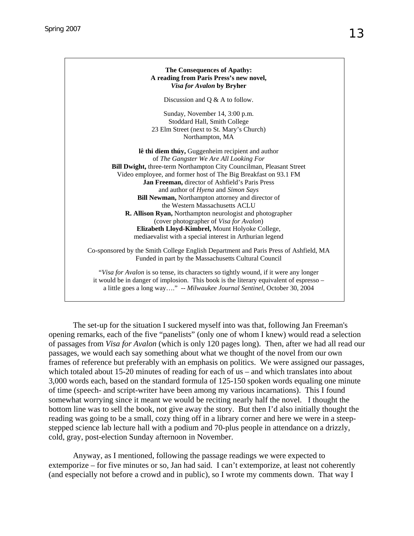

The set-up for the situation I suckered myself into was that, following Jan Freeman's opening remarks, each of the five "panelists" (only one of whom I knew) would read a selection of passages from *Visa for Avalon* (which is only 120 pages long). Then, after we had all read our passages, we would each say something about what we thought of the novel from our own frames of reference but preferably with an emphasis on politics. We were assigned our passages, which totaled about 15-20 minutes of reading for each of us – and which translates into about 3,000 words each, based on the standard formula of 125-150 spoken words equaling one minute of time (speech- and script-writer have been among my various incarnations). This I found somewhat worrying since it meant we would be reciting nearly half the novel. I thought the bottom line was to sell the book, not give away the story. But then I'd also initially thought the reading was going to be a small, cozy thing off in a library corner and here we were in a steepstepped science lab lecture hall with a podium and 70-plus people in attendance on a drizzly, cold, gray, post-election Sunday afternoon in November.

Anyway, as I mentioned, following the passage readings we were expected to extemporize – for five minutes or so, Jan had said. I can't extemporize, at least not coherently (and especially not before a crowd and in public), so I wrote my comments down. That way I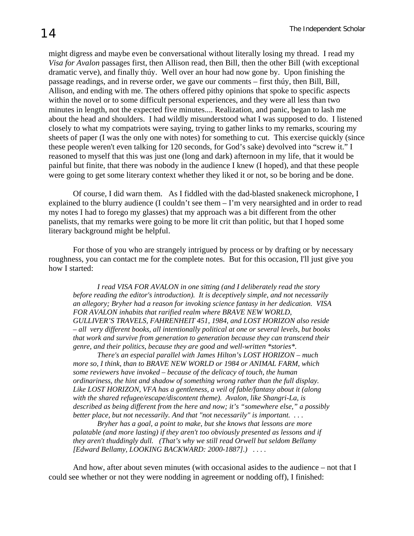might digress and maybe even be conversational without literally losing my thread. I read my *Visa for Avalon* passages first, then Allison read, then Bill, then the other Bill (with exceptional dramatic verve), and finally thúy. Well over an hour had now gone by. Upon finishing the passage readings, and in reverse order, we gave our comments – first thúy, then Bill, Bill, Allison, and ending with me. The others offered pithy opinions that spoke to specific aspects within the novel or to some difficult personal experiences, and they were all less than two minutes in length, not the expected five minutes.... Realization, and panic, began to lash me about the head and shoulders. I had wildly misunderstood what I was supposed to do. I listened closely to what my compatriots were saying, trying to gather links to my remarks, scouring my sheets of paper (I was the only one with notes) for something to cut. This exercise quickly (since these people weren't even talking for 120 seconds, for God's sake) devolved into "screw it." I reasoned to myself that this was just one (long and dark) afternoon in my life, that it would be painful but finite, that there was nobody in the audience I knew (I hoped), and that these people were going to get some literary context whether they liked it or not, so be boring and be done.

Of course, I did warn them. As I fiddled with the dad-blasted snakeneck microphone, I explained to the blurry audience (I couldn't see them – I'm very nearsighted and in order to read my notes I had to forego my glasses) that my approach was a bit different from the other panelists, that my remarks were going to be more lit crit than politic, but that I hoped some literary background might be helpful.

For those of you who are strangely intrigued by process or by drafting or by necessary roughness, you can contact me for the complete notes. But for this occasion, I'll just give you how I started:

*I read VISA FOR AVALON in one sitting (and I deliberately read the story before reading the editor's introduction). It is deceptively simple, and not necessarily an allegory; Bryher had a reason for invoking science fantasy in her dedication. VISA FOR AVALON inhabits that rarified realm where BRAVE NEW WORLD, GULLIVER'S TRAVELS, FAHRENHEIT 451, 1984, and LOST HORIZON also reside – all very different books, all intentionally political at one or several levels, but books that work and survive from generation to generation because they can transcend their genre, and their politics, because they are good and well-written \*stories\*.* 

*There's an especial parallel with James Hilton's LOST HORIZON – much more so, I think, than to BRAVE NEW WORLD or 1984 or ANIMAL FARM, which some reviewers have invoked – because of the delicacy of touch, the human ordinariness, the hint and shadow of something wrong rather than the full display. Like LOST HORIZON, VFA has a gentleness, a veil of fable/fantasy about it (along with the shared refugee/escape/discontent theme). Avalon, like Shangri-La, is described as being different from the here and now; it's "somewhere else," a possibly better place, but not necessarily. And that "not necessarily" is important. . . .* 

*Bryher has a goal, a point to make, but she knows that lessons are more palatable (and more lasting) if they aren't too obviously presented as lessons and if they aren't thuddingly dull. (That's why we still read Orwell but seldom Bellamy [Edward Bellamy, LOOKING BACKWARD: 2000-1887].) . . . .* 

And how, after about seven minutes (with occasional asides to the audience – not that I could see whether or not they were nodding in agreement or nodding off), I finished: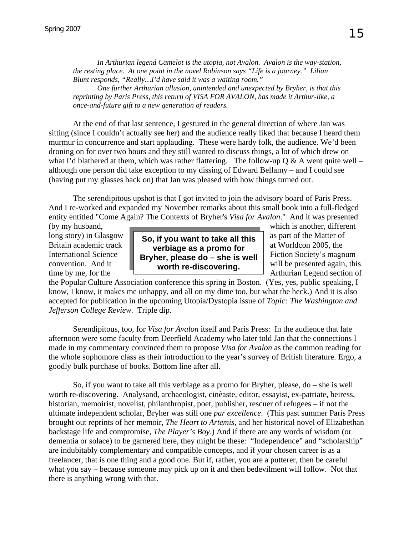*In Arthurian legend Camelot is the utopia, not Avalon. Avalon is the way-station, the resting place. At one point in the novel Robinson says "Life is a journey." Lilian Blunt responds, "Really…I'd have said it was a waiting room."* 

*One further Arthurian allusion, unintended and unexpected by Bryher, is that this reprinting by Paris Press, this return of VISA FOR AVALON, has made it Arthur-like, a once-and-future gift to a new generation of readers.* 

At the end of that last sentence, I gestured in the general direction of where Jan was sitting (since I couldn't actually see her) and the audience really liked that because I heard them murmur in concurrence and start applauding. These were hardy folk, the audience. We'd been droning on for over two hours and they still wanted to discuss things, a lot of which drew on what I'd blathered at them, which was rather flattering. The follow-up  $Q & A$  went quite well – although one person did take exception to my dissing of Edward Bellamy – and I could see (having put my glasses back on) that Jan was pleased with how things turned out.

The serendipitous upshot is that I got invited to join the advisory board of Paris Press. And I re-worked and expanded my November remarks about this small book into a full-fledged entity entitled "Come Again? The Contexts of Bryher's *Visa for Avalon*." And it was presented



(by my husband, which is another, different

the Popular Culture Association conference this spring in Boston. (Yes, yes, public speaking, I know, I know, it makes me unhappy, and all on my dime too, but what the heck.) And it is also accepted for publication in the upcoming Utopia/Dystopia issue of *Topic: The Washington and Jefferson College Review*. Triple dip.

Serendipitous, too, for *Visa for Avalon* itself and Paris Press: In the audience that late afternoon were some faculty from Deerfield Academy who later told Jan that the connections I made in my commentary convinced them to propose *Visa for Avalon* as the common reading for the whole sophomore class as their introduction to the year's survey of British literature. Ergo, a goodly bulk purchase of books. Bottom line after all.

So, if you want to take all this verbiage as a promo for Bryher, please, do – she is well worth re-discovering. Analysand, archaeologist, cinèaste, editor, essayist, ex-patriate, heiress, historian, memoirist, novelist, philanthropist, poet, publisher, rescuer of refugees – if not the ultimate independent scholar, Bryher was still one *par excellence*. (This past summer Paris Press brought out reprints of her memoir*, The Heart to Artemis*, and her historical novel of Elizabethan backstage life and compromise, *The Player's Boy*.) And if there are any words of wisdom (or dementia or solace) to be garnered here, they might be these: "Independence" and "scholarship" are indubitably complementary and compatible concepts, and if your chosen career is as a freelancer, that is one thing and a good one. But if, rather, you are a putterer, then be careful what you say – because someone may pick up on it and then bedevilment will follow. Not that there is anything wrong with that.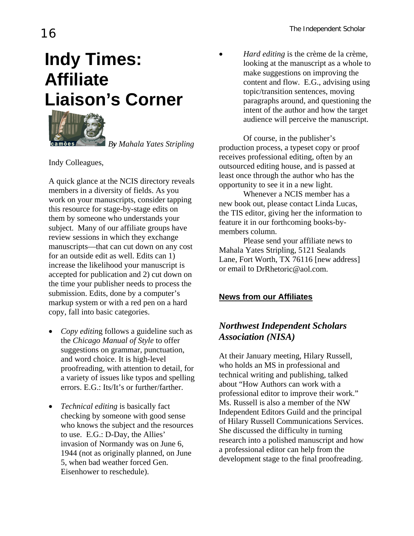# **Indy Times: Affiliate Liaison's Corner**



 *By Mahala Yates Stripling*

Indy Colleagues,

A quick glance at the NCIS directory reveals members in a diversity of fields. As you work on your manuscripts, consider tapping this resource for stage-by-stage edits on them by someone who understands your subject. Many of our affiliate groups have review sessions in which they exchange manuscripts—that can cut down on any cost for an outside edit as well. Edits can 1) increase the likelihood your manuscript is accepted for publication and 2) cut down on the time your publisher needs to process the submission. Edits, done by a computer's markup system or with a red pen on a hard copy, fall into basic categories.

- *Copy editin*g follows a guideline such as the *Chicago Manual of Style* to offer suggestions on grammar, punctuation, and word choice. It is high-level proofreading, with attention to detail, for a variety of issues like typos and spelling errors. E.G.: Its/It's or further/farther.
- *Technical editing* is basically fact checking by someone with good sense who knows the subject and the resources to use. E.G.: D-Day, the Allies' invasion of Normandy was on June 6, 1944 (not as originally planned, on June 5, when bad weather forced Gen. Eisenhower to reschedule).

• *Hard editing* is the crème de la crème, looking at the manuscript as a whole to make suggestions on improving the content and flow. E.G., advising using topic/transition sentences, moving paragraphs around, and questioning the intent of the author and how the target audience will perceive the manuscript.

Of course, in the publisher's production process, a typeset copy or proof receives professional editing, often by an outsourced editing house, and is passed at least once through the author who has the opportunity to see it in a new light.

Whenever a NCIS member has a new book out, please contact Linda Lucas, the TIS editor, giving her the information to feature it in our forthcoming books-bymembers column.

Please send your affiliate news to Mahala Yates Stripling, 5121 Sealands Lane, Fort Worth, TX 76116 [new address] or email to [DrRhetoric@aol.com.](mailto:DrRhetoric@aol.com)

#### **News from our Affiliates**

#### *Northwest Independent Scholars Association (NISA)*

At their January meeting, Hilary Russell, who holds an MS in professional and technical writing and publishing, talked about "How Authors can work with a professional editor to improve their work." Ms. Russell is also a member of the NW Independent Editors Guild and the principal of Hilary Russell Communications Services. She discussed the difficulty in turning research into a polished manuscript and how a professional editor can help from the development stage to the final proofreading.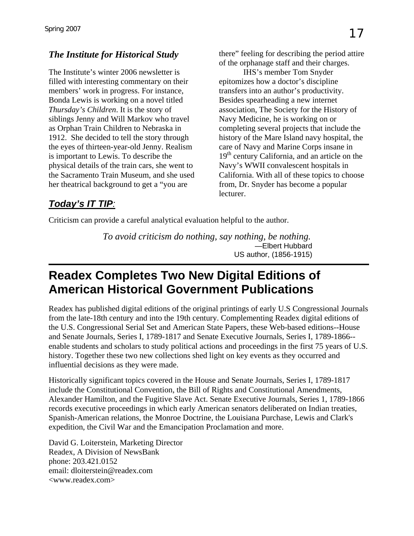The Institute's winter 2006 newsletter is filled with interesting commentary on their members' work in progress. For instance, Bonda Lewis is working on a novel titled *Thursday's Children*. It is the story of siblings Jenny and Will Markov who travel as Orphan Train Children to Nebraska in 1912. She decided to tell the story through the eyes of thirteen-year-old Jenny. Realism is important to Lewis. To describe the physical details of the train cars, she went to the Sacramento Train Museum, and she used her theatrical background to get a "you are

**The Institute for Historical Study** there" feeling for describing the period attire of the orphanage staff and their charges.

IHS's member Tom Snyder epitomizes how a doctor's discipline transfers into an author's productivity. Besides spearheading a new internet association, The Society for the History of Navy Medicine, he is working on or completing several projects that include the history of the Mare Island navy hospital, the care of Navy and Marine Corps insane in 19<sup>th</sup> century California, and an article on the Navy's WWII convalescent hospitals in California. With all of these topics to choose from, Dr. Snyder has become a popular lecturer.

#### *Today's IT TIP:*

Criticism can provide a careful analytical evaluation helpful to the author.

*To avoid criticism do nothing, say nothing, be nothing.*  —Elbert Hubbard US author, (1856-1915)

## **Readex Completes Two New Digital Editions of American Historical Government Publications**

Readex has published digital editions of the original printings of early U.S Congressional Journals from the late-18th century and into the 19th century. Complementing Readex digital editions of the U.S. Congressional Serial Set and American State Papers, these Web-based editions--House and Senate Journals, Series I, 1789-1817 and Senate Executive Journals, Series I, 1789-1866- enable students and scholars to study political actions and proceedings in the first 75 years of U.S. history. Together these two new collections shed light on key events as they occurred and influential decisions as they were made.

Historically significant topics covered in the House and Senate Journals, Series I, 1789-1817 include the Constitutional Convention, the Bill of Rights and Constitutional Amendments, Alexander Hamilton, and the Fugitive Slave Act. Senate Executive Journals, Series 1, 1789-1866 records executive proceedings in which early American senators deliberated on Indian treaties, Spanish-American relations, the Monroe Doctrine, the Louisiana Purchase, Lewis and Clark's expedition, the Civil War and the Emancipation Proclamation and more.

David G. Loiterstein, Marketing Director Readex, A Division of NewsBank phone: 203.421.0152 email: [dloiterstein@readex.com](mailto:dloiterstein@readex.com) <[www.readex.com](http://www.readex.com/)>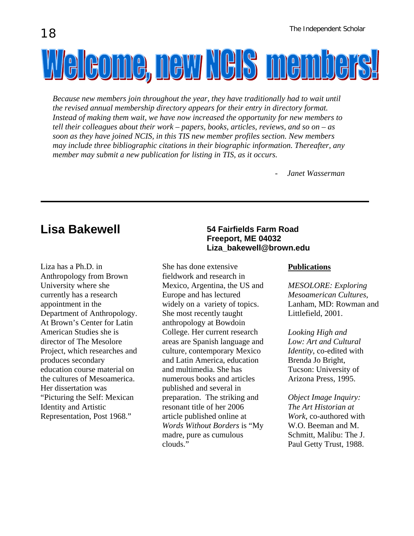Welcome, new Nels members!

*Because new members join throughout the year, they have traditionally had to wait until the revised annual membership directory appears for their entry in directory format. Instead of making them wait, we have now increased the opportunity for new members to tell their colleagues about their work – papers, books, articles, reviews, and so on – as soon as they have joined NCIS, in this TIS new member profiles section. New members may include three bibliographic citations in their biographic information. Thereafter, any member may submit a new publication for listing in TIS, as it occurs.* 

*- Janet Wasserman* 

Liza has a Ph.D. in Anthropology from Brown University where she currently has a research appointment in the Department of Anthropology. At Brown's Center for Latin American Studies she is director of The Mesolore Project, which researches and produces secondary education course material on the cultures of Mesoamerica. Her dissertation was "Picturing the Self: Mexican Identity and Artistic Representation, Post 1968."

#### Lisa Bakewell **1988** 54 Fairfields Farm Road **Freeport, ME 04032 [Liza\\_bakewell@brown.edu](mailto:Liza_bakewell@brown.edu)**

She has done extensive fieldwork and research in Mexico, Argentina, the US and Europe and has lectured widely on a variety of topics. She most recently taught anthropology at Bowdoin College. Her current research areas are Spanish language and culture, contemporary Mexico and Latin America, education and multimedia. She has numerous books and articles published and several in preparation. The striking and resonant title of her 2006 article published online at *Words Without Borders* is "My madre, pure as cumulous clouds."

#### **Publications**

*MESOLORE: Exploring Mesoamerican Cultures*, Lanham, MD: Rowman and Littlefield, 2001.

*Looking High and Low: Art and Cultural Identity*, co-edited with Brenda Jo Bright, Tucson: University of Arizona Press, 1995.

*Object Image Inquiry: The Art Historian at Work*, co-authored with W.O. Beeman and M. Schmitt, Malibu: The J. Paul Getty Trust, 1988.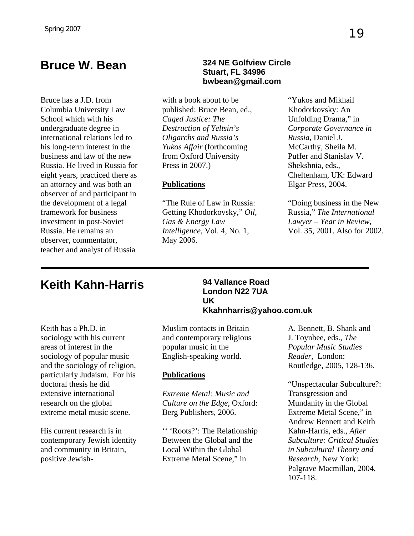Bruce has a J.D. from Columbia University Law School which with his undergraduate degree in international relations led to his long-term interest in the business and law of the new Russia. He lived in Russia for eight years, practiced there as an attorney and was both an observer of and participant in the development of a legal framework for business investment in post-Soviet Russia. He remains an observer, commentator, teacher and analyst of Russia

#### **Bruce W. Bean 324 NE Golfview Circle Stuart, FL 34996 bwbean@gmail.com**

with a book about to be published: Bruce Bean, ed., *Caged Justice: The Destruction of Yeltsin's Oligarchs and Russia's Yukos Affair* (forthcoming from Oxford University Press in 2007.)

#### **Publications**

"The Rule of Law in Russia: Getting Khodorkovsky," *Oil, Gas & Energy Law Intelligence*, Vol. 4, No. 1, May 2006.

"Yukos and Mikhail Khodorkovsky: An Unfolding Drama," in *Corporate Governance in Russia*, Daniel J. McCarthy, Sheila M. Puffer and Stanislav V. Shekshnia, eds., Cheltenham, UK: Edward Elgar Press, 2004.

"Doing business in the New Russia," *The International Lawyer – Year in Review*, Vol. 35, 2001. Also for 2002.

## **Keith Kahn-Harris 94 Vallance Road**

Keith has a Ph.D. in sociology with his current areas of interest in the sociology of popular music and the sociology of religion, particularly Judaism. For his doctoral thesis he did extensive international research on the global extreme metal music scene.

His current research is in contemporary Jewish identity and community in Britain, positive Jewish-

#### **London N22 7UA UK Kkahnharris@yahoo.com.uk**

Muslim contacts in Britain and contemporary religious popular music in the English-speaking world.

#### **Publications**

*Extreme Metal: Music and Culture on the Edge,* Oxford: Berg Publishers, 2006.

'' 'Roots?': The Relationship Between the Global and the Local Within the Global Extreme Metal Scene," in

A. Bennett, B. Shank and J. Toynbee, eds., *The Popular Music Studies Reader*, London: Routledge, 2005, 128-136.

"Unspectacular Subculture?: Transgression and Mundanity in the Global Extreme Metal Scene," in Andrew Bennett and Keith Kahn-Harris, eds., *After Subculture: Critical Studies in Subcultural Theory and Research,* New York: Palgrave Macmillan, 2004, 107-118.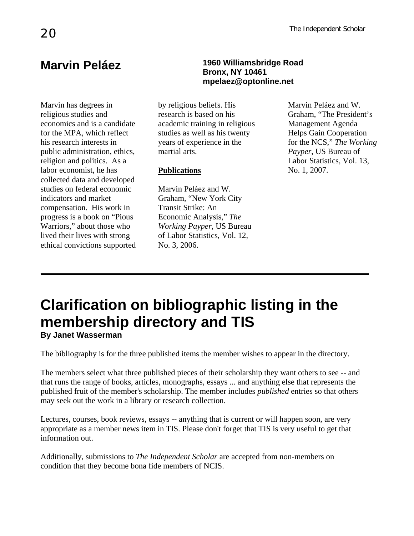Marvin has degrees in religious studies and economics and is a candidate for the MPA, which reflect his research interests in public administration, ethics, religion and politics. As a labor economist, he has collected data and developed studies on federal economic indicators and market compensation. His work in progress is a book on "Pious Warriors," about those who lived their lives with strong ethical convictions supported

#### **Marvin Peláez 1960 Williamsbridge Road Bronx, NY 10461 [mpelaez@optonline.net](mailto:mpelaez@optonline.net)**

by religious beliefs. His research is based on his academic training in religious studies as well as his twenty years of experience in the martial arts.

#### **Publications**

Marvin Peláez and W. Graham, "New York City Transit Strike: An Economic Analysis," *The Working Payper*, US Bureau of Labor Statistics, Vol. 12, No. 3, 2006.

Marvin Peláez and W. Graham, "The President's Management Agenda Helps Gain Cooperation for the NCS," *The Working Payper*, US Bureau of Labor Statistics, Vol. 13, No. 1, 2007.

## **Clarification on bibliographic listing in the membership directory and TIS By Janet Wasserman**

The bibliography is for the three published items the member wishes to appear in the directory.

The members select what three published pieces of their scholarship they want others to see -- and that runs the range of books, articles, monographs, essays ... and anything else that represents the published fruit of the member's scholarship. The member includes *published* entries so that others may seek out the work in a library or research collection.

Lectures, courses, book reviews, essays -- anything that is current or will happen soon, are very appropriate as a member news item in TIS. Please don't forget that TIS is very useful to get that information out.

Additionally, submissions to *The Independent Scholar* are accepted from non-members on condition that they become bona fide members of NCIS.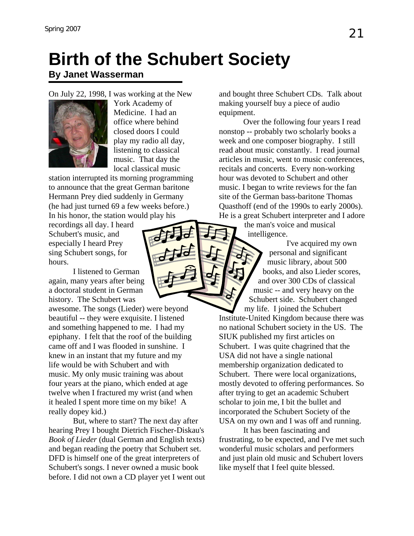## **Birth of the Schubert Society**

### **By Janet Wasserman**

On July 22, 1998, I was working at the New



York Academy of Medicine. I had an office where behind closed doors I could play my radio all day, listening to classical music. That day the local classical music

station interrupted its morning programming to announce that the great German baritone Hermann Prey died suddenly in Germany (he had just turned 69 a few weeks before.) In his honor, the station would play his

recordings all day. I heard Schubert's music, and especially I heard Prey sing Schubert songs, for hours.

I listened to German again, many years after being a doctoral student in German history. The Schubert was

awesome. The songs (Lieder) were beyond beautiful -- they were exquisite. I listened and something happened to me. I had my epiphany. I felt that the roof of the building came off and I was flooded in sunshine. I knew in an instant that my future and my life would be with Schubert and with music. My only music training was about four years at the piano, which ended at age twelve when I fractured my wrist (and when it healed I spent more time on my bike! A really dopey kid.)

 But, where to start? The next day after hearing Prey I bought Dietrich Fischer-Diskau's *Book of Lieder* (dual German and English texts) and began reading the poetry that Schubert set. DFD is himself one of the great interpreters of Schubert's songs. I never owned a music book before. I did not own a CD player yet I went out and bought three Schubert CDs. Talk about making yourself buy a piece of audio equipment.

 Over the following four years I read nonstop -- probably two scholarly books a week and one composer biography. I still read about music constantly. I read journal articles in music, went to music conferences, recitals and concerts. Every non-working hour was devoted to Schubert and other music. I began to write reviews for the fan site of the German bass-baritone Thomas Quasthoff (end of the 1990s to early 2000s). He is a great Schubert interpreter and I adore

the man's voice and musical intelligence.

 I've acquired my own personal and significant music library, about 500 books, and also Lieder scores, and over 300 CDs of classical music -- and very heavy on the Schubert side. Schubert changed my life. I joined the Schubert

Institute-United Kingdom because there was no national Schubert society in the US. The SIUK published my first articles on Schubert. I was quite chagrined that the USA did not have a single national membership organization dedicated to Schubert. There were local organizations, mostly devoted to offering performances. So after trying to get an academic Schubert scholar to join me, I bit the bullet and incorporated the Schubert Society of the USA on my own and I was off and running.

 It has been fascinating and frustrating, to be expected, and I've met such wonderful music scholars and performers and just plain old music and Schubert lovers like myself that I feel quite blessed.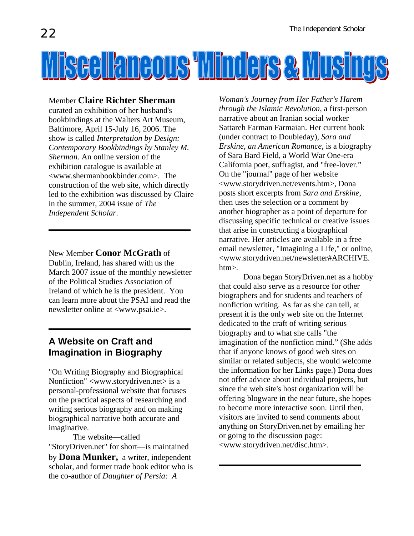

#### Member **Claire Richter Sherman**

curated an exhibition of her husband's bookbindings at the Walters Art Museum, Baltimore, April 15-July 16, 2006. The show is called *Interpretation by Design: Contemporary Bookbindings by Stanley M. Sherman*. An online version of the exhibition catalogue is available at <www.shermanbookbinder.com>. The construction of the web site, which directly led to the exhibition was discussed by Claire in the summer, 2004 issue of *The Independent Scholar*.

New Member **Conor McGrath** of Dublin, Ireland, has shared with us the March 2007 issue of the monthly newsletter of the Political Studies Association of Ireland of which he is the president. You can learn more about the PSAI and read the newsletter online at <www.psai.ie>.

#### **A Website on Craft and Imagination in Biography**

"On Writing Biography and Biographical Nonfiction" <www.storydriven.net> is a personal-professional website that focuses on the practical aspects of researching and writing serious biography and on making biographical narrative both accurate and imaginative.

 The website—called "StoryDriven.net" for short—is maintained by **Dona Munker,** a writer, independent scholar, and former trade book editor who is the co-author of *Daughter of Persia: A* 

*Woman's Journey from Her Father's Harem through the Islamic Revolution*, a first-person narrative about an Iranian social worker Sattareh Farman Farmaian. Her current book (under contract to Doubleday), *Sara and Erskine, an American Romance*, is a biography of Sara Bard Field, a World War One-era California poet, suffragist, and "free-lover." On the "journal" page of her website <www.storydriven.net/events.htm>, Dona posts short excerpts from *Sara and Erskine*, then uses the selection or a comment by another biographer as a point of departure for discussing specific technical or creative issues that arise in constructing a biographical narrative. Her articles are available in a free email newsletter, "Imagining a Life," or online, <www.storydriven.net/newsletter#ARCHIVE. htm>.

Dona began StoryDriven.net as a hobby that could also serve as a resource for other biographers and for students and teachers of nonfiction writing. As far as she can tell, at present it is the only web site on the Internet dedicated to the craft of writing serious biography and to what she calls "the imagination of the nonfiction mind." (She adds that if anyone knows of good web sites on similar or related subjects, she would welcome the information for her Links page.) Dona does not offer advice about individual projects, but since the web site's host organization will be offering blogware in the near future, she hopes to become more interactive soon. Until then, visitors are invited to send comments about anything on StoryDriven.net by emailing her or going to the discussion page: <www.storydriven.net/disc.htm>.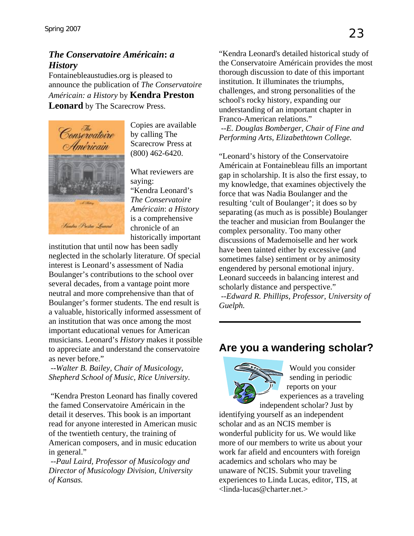#### *The Conservatoire Américain***:** *a History*

Fontainebleaustudies.org is pleased to announce the publication of *The Conservatoire Américain: a History* by **Kendra Preston Leonard** by The Scarecrow Press.



Copies are available by calling The Scarecrow Press at (800) 462-6420.

What reviewers are saying: "Kendra Leonard's *The Conservatoire Américain*: *a History*  is a comprehensive chronicle of an historically important

institution that until now has been sadly neglected in the scholarly literature. Of special interest is Leonard's assessment of Nadia Boulanger's contributions to the school over several decades, from a vantage point more neutral and more comprehensive than that of Boulanger's former students. The end result is a valuable, historically informed assessment of an institution that was once among the most important educational venues for American musicians. Leonard's *History* makes it possible to appreciate and understand the conservatoire as never before."

*--Walter B. Bailey, Chair of Musicology, Shepherd School of Music, Rice University.* 

 "Kendra Preston Leonard has finally covered the famed Conservatoire Américain in the detail it deserves. This book is an important read for anyone interested in American music of the twentieth century, the training of American composers, and in music education in general."

*--Paul Laird, Professor of Musicology and Director of Musicology Division, University of Kansas.* 

"Kendra Leonard's detailed historical study of the Conservatoire Américain provides the most thorough discussion to date of this important institution. It illuminates the triumphs, challenges, and strong personalities of the school's rocky history, expanding our understanding of an important chapter in Franco-American relations."

 *--E. Douglas Bomberger, Chair of Fine and Performing Arts, Elizabethtown College.* 

"Leonard's history of the Conservatoire Américain at Fontainebleau fills an important gap in scholarship. It is also the first essay, to my knowledge, that examines objectively the force that was Nadia Boulanger and the resulting 'cult of Boulanger'; it does so by separating (as much as is possible) Boulanger the teacher and musician from Boulanger the complex personality. Too many other discussions of Mademoiselle and her work have been tainted either by excessive (and sometimes false) sentiment or by animosity engendered by personal emotional injury. Leonard succeeds in balancing interest and scholarly distance and perspective."

*--Edward R. Phillips, Professor, University of Guelph.* 

### **Are you a wandering scholar?**



Would you consider sending in periodic reports on your experiences as a traveling

independent scholar? Just by identifying yourself as an independent scholar and as an NCIS member is wonderful publicity for us. We would like more of our members to write us about your work far afield and encounters with foreign academics and scholars who may be unaware of NCIS. Submit your traveling experiences to Linda Lucas, editor, TIS, at [<linda-lucas@charter.net.](mailto:<linda-lucas@charter.net)>